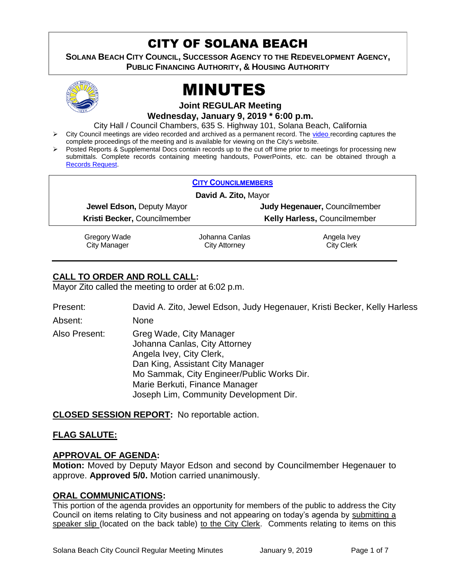# CITY OF SOLANA BEACH

**SOLANA BEACH CITY COUNCIL, SUCCESSOR AGENCY TO THE REDEVELOPMENT AGENCY, PUBLIC FINANCING AUTHORITY, & HOUSING AUTHORITY** 



# MINUTES

**Joint REGULAR Meeting**

**Wednesday, January 9, 2019 \* 6:00 p.m.**

City Hall / Council Chambers, 635 S. Highway 101, Solana Beach, California

- City Council meetings are video recorded and archived as a permanent record. The [video r](https://solanabeach.12milesout.com/#page=1)ecording captures the complete proceedings of the meeting and is available for viewing on the City's website.
- Posted Reports & Supplemental Docs contain records up to the cut off time prior to meetings for processing new submittals. Complete records containing meeting handouts, PowerPoints, etc. can be obtained through a [Records Request.](http://www.ci.solana-beach.ca.us/index.asp?SEC=F5D45D10-70CE-4291-A27C-7BD633FC6742&Type=B_BASIC)

| <b>CITY COUNCILMEMBERS</b>       |                |                                     |  |  |  |
|----------------------------------|----------------|-------------------------------------|--|--|--|
| David A. Zito, Mayor             |                |                                     |  |  |  |
| <b>Jewel Edson, Deputy Mayor</b> |                | Judy Hegenauer, Councilmember       |  |  |  |
| Kristi Becker, Councilmember     |                | <b>Kelly Harless, Councilmember</b> |  |  |  |
| Gregory Wade                     | Johanna Canlas | Angela Ivey                         |  |  |  |

City Manager

Johanna Canlas City Attorney

City Clerk

# **CALL TO ORDER AND ROLL CALL:**

Mayor Zito called the meeting to order at 6:02 p.m.

| Present:      | David A. Zito, Jewel Edson, Judy Hegenauer, Kristi Becker, Kelly Harless                                                                                                                                                                           |
|---------------|----------------------------------------------------------------------------------------------------------------------------------------------------------------------------------------------------------------------------------------------------|
| Absent:       | None                                                                                                                                                                                                                                               |
| Also Present: | Greg Wade, City Manager<br>Johanna Canlas, City Attorney<br>Angela Ivey, City Clerk,<br>Dan King, Assistant City Manager<br>Mo Sammak, City Engineer/Public Works Dir.<br>Marie Berkuti, Finance Manager<br>Joseph Lim, Community Development Dir. |

**CLOSED SESSION REPORT:** No reportable action.

#### **FLAG SALUTE:**

#### **APPROVAL OF AGENDA:**

**Motion:** Moved by Deputy Mayor Edson and second by Councilmember Hegenauer to approve. **Approved 5/0.** Motion carried unanimously.

#### **ORAL COMMUNICATIONS:**

This portion of the agenda provides an opportunity for members of the public to address the City Council on items relating to City business and not appearing on today's agenda by submitting a speaker slip (located on the back table) to the City Clerk. Comments relating to items on this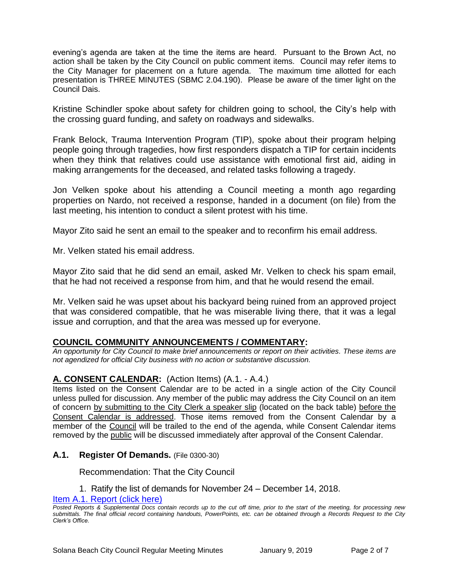evening's agenda are taken at the time the items are heard. Pursuant to the Brown Act, no action shall be taken by the City Council on public comment items. Council may refer items to the City Manager for placement on a future agenda. The maximum time allotted for each presentation is THREE MINUTES (SBMC 2.04.190). Please be aware of the timer light on the Council Dais.

Kristine Schindler spoke about safety for children going to school, the City's help with the crossing guard funding, and safety on roadways and sidewalks.

Frank Belock, Trauma Intervention Program (TIP), spoke about their program helping people going through tragedies, how first responders dispatch a TIP for certain incidents when they think that relatives could use assistance with emotional first aid, aiding in making arrangements for the deceased, and related tasks following a tragedy.

Jon Velken spoke about his attending a Council meeting a month ago regarding properties on Nardo, not received a response, handed in a document (on file) from the last meeting, his intention to conduct a silent protest with his time.

Mayor Zito said he sent an email to the speaker and to reconfirm his email address.

Mr. Velken stated his email address.

Mayor Zito said that he did send an email, asked Mr. Velken to check his spam email, that he had not received a response from him, and that he would resend the email.

Mr. Velken said he was upset about his backyard being ruined from an approved project that was considered compatible, that he was miserable living there, that it was a legal issue and corruption, and that the area was messed up for everyone.

# **COUNCIL COMMUNITY ANNOUNCEMENTS / COMMENTARY:**

*An opportunity for City Council to make brief announcements or report on their activities. These items are not agendized for official City business with no action or substantive discussion.* 

#### **A. CONSENT CALENDAR:** (Action Items) (A.1. - A.4.)

Items listed on the Consent Calendar are to be acted in a single action of the City Council unless pulled for discussion. Any member of the public may address the City Council on an item of concern by submitting to the City Clerk a speaker slip (located on the back table) before the Consent Calendar is addressed. Those items removed from the Consent Calendar by a member of the Council will be trailed to the end of the agenda, while Consent Calendar items removed by the public will be discussed immediately after approval of the Consent Calendar.

#### **A.1. Register Of Demands.** (File 0300-30)

Recommendation: That the City Council

1. Ratify the list of demands for November 24 – December 14, 2018.

[Item A.1. Report \(click here\)](https://solanabeach.govoffice3.com/vertical/Sites/%7B840804C2-F869-4904-9AE3-720581350CE7%7D/uploads/Item_A.1._Report_(click_here)_01-09-19.PDF) 

*Posted Reports & Supplemental Docs contain records up to the cut off time, prior to the start of the meeting, for processing new submittals. The final official record containing handouts, PowerPoints, etc. can be obtained through a Records Request to the City Clerk's Office.*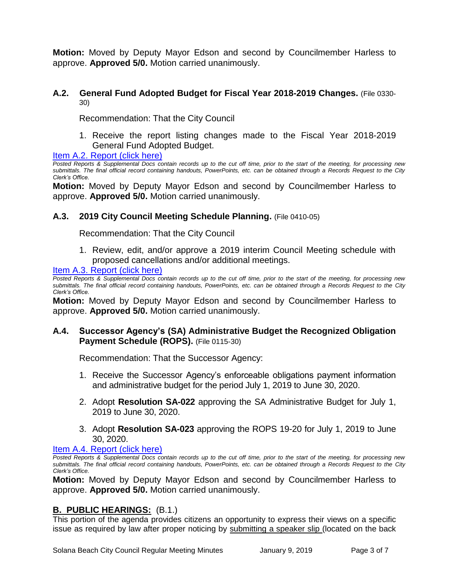**Motion:** Moved by Deputy Mayor Edson and second by Councilmember Harless to approve. **Approved 5/0.** Motion carried unanimously.

#### **A.2. General Fund Adopted Budget for Fiscal Year 2018-2019 Changes.** (File 0330- 30)

Recommendation: That the City Council

1. Receive the report listing changes made to the Fiscal Year 2018-2019 General Fund Adopted Budget.

#### [Item A.2. Report \(click here\)](https://solanabeach.govoffice3.com/vertical/Sites/%7B840804C2-F869-4904-9AE3-720581350CE7%7D/uploads/Item_A.2._Report_(click_here)_01-09-19.PDF)

*Posted Reports & Supplemental Docs contain records up to the cut off time, prior to the start of the meeting, for processing new submittals. The final official record containing handouts, PowerPoints, etc. can be obtained through a Records Request to the City Clerk's Office.*

**Motion:** Moved by Deputy Mayor Edson and second by Councilmember Harless to approve. **Approved 5/0.** Motion carried unanimously.

#### **A.3. 2019 City Council Meeting Schedule Planning.** (File 0410-05)

Recommendation: That the City Council

1. Review, edit, and/or approve a 2019 interim Council Meeting schedule with proposed cancellations and/or additional meetings.

#### [Item A.3. Report \(click here\)](https://solanabeach.govoffice3.com/vertical/Sites/%7B840804C2-F869-4904-9AE3-720581350CE7%7D/uploads/Item_A.3._Report_(click_here)_01-09-19.PDF)

*Posted Reports & Supplemental Docs contain records up to the cut off time, prior to the start of the meeting, for processing new submittals. The final official record containing handouts, PowerPoints, etc. can be obtained through a Records Request to the City Clerk's Office.*

**Motion:** Moved by Deputy Mayor Edson and second by Councilmember Harless to approve. **Approved 5/0.** Motion carried unanimously.

#### **A.4. Successor Agency's (SA) Administrative Budget the Recognized Obligation Payment Schedule (ROPS).** (File 0115-30)

Recommendation: That the Successor Agency:

- 1. Receive the Successor Agency's enforceable obligations payment information and administrative budget for the period July 1, 2019 to June 30, 2020.
- 2. Adopt **Resolution SA-022** approving the SA Administrative Budget for July 1, 2019 to June 30, 2020.
- 3. Adopt **Resolution SA-023** approving the ROPS 19-20 for July 1, 2019 to June 30, 2020.

#### [Item A.4. Report \(click here\)](https://solanabeach.govoffice3.com/vertical/Sites/%7B840804C2-F869-4904-9AE3-720581350CE7%7D/uploads/Item_A.4._Report_(click_here)_01-09-19.PDF)

*Posted Reports & Supplemental Docs contain records up to the cut off time, prior to the start of the meeting, for processing new submittals. The final official record containing handouts, PowerPoints, etc. can be obtained through a Records Request to the City Clerk's Office.*

**Motion:** Moved by Deputy Mayor Edson and second by Councilmember Harless to approve. **Approved 5/0.** Motion carried unanimously.

#### **B. PUBLIC HEARINGS:** (B.1.)

This portion of the agenda provides citizens an opportunity to express their views on a specific issue as required by law after proper noticing by submitting a speaker slip (located on the back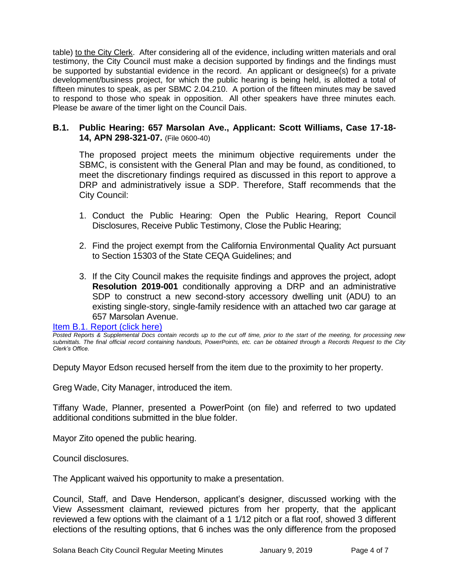table) to the City Clerk. After considering all of the evidence, including written materials and oral testimony, the City Council must make a decision supported by findings and the findings must be supported by substantial evidence in the record. An applicant or designee(s) for a private development/business project, for which the public hearing is being held, is allotted a total of fifteen minutes to speak, as per SBMC 2.04.210. A portion of the fifteen minutes may be saved to respond to those who speak in opposition. All other speakers have three minutes each. Please be aware of the timer light on the Council Dais.

#### **B.1. Public Hearing: 657 Marsolan Ave., Applicant: Scott Williams, Case 17-18- 14, APN 298-321-07.** (File 0600-40)

The proposed project meets the minimum objective requirements under the SBMC, is consistent with the General Plan and may be found, as conditioned, to meet the discretionary findings required as discussed in this report to approve a DRP and administratively issue a SDP. Therefore, Staff recommends that the City Council:

- 1. Conduct the Public Hearing: Open the Public Hearing, Report Council Disclosures, Receive Public Testimony, Close the Public Hearing;
- 2. Find the project exempt from the California Environmental Quality Act pursuant to Section 15303 of the State CEQA Guidelines; and
- 3. If the City Council makes the requisite findings and approves the project, adopt **Resolution 2019-001** conditionally approving a DRP and an administrative SDP to construct a new second-story accessory dwelling unit (ADU) to an existing single-story, single-family residence with an attached two car garage at 657 Marsolan Avenue.

[Item B.1. Report \(click here\)](https://solanabeach.govoffice3.com/vertical/Sites/%7B840804C2-F869-4904-9AE3-720581350CE7%7D/uploads/Item_B.1._Report_(click_here)_01-09-19.PDF) 

*Posted Reports & Supplemental Docs contain records up to the cut off time, prior to the start of the meeting, for processing new submittals. The final official record containing handouts, PowerPoints, etc. can be obtained through a Records Request to the City Clerk's Office.*

Deputy Mayor Edson recused herself from the item due to the proximity to her property.

Greg Wade, City Manager, introduced the item.

Tiffany Wade, Planner, presented a PowerPoint (on file) and referred to two updated additional conditions submitted in the blue folder.

Mayor Zito opened the public hearing.

Council disclosures.

The Applicant waived his opportunity to make a presentation.

Council, Staff, and Dave Henderson, applicant's designer, discussed working with the View Assessment claimant, reviewed pictures from her property, that the applicant reviewed a few options with the claimant of a 1 1/12 pitch or a flat roof, showed 3 different elections of the resulting options, that 6 inches was the only difference from the proposed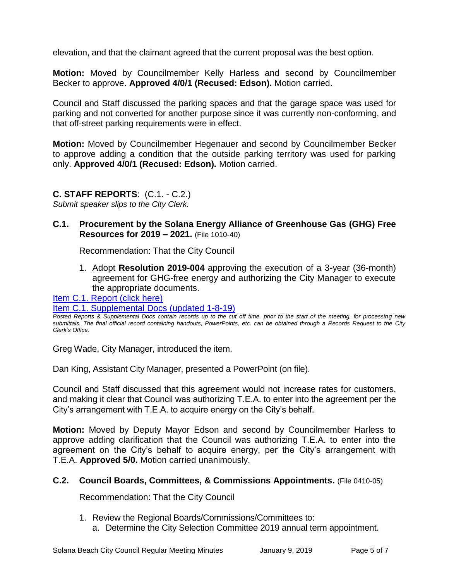elevation, and that the claimant agreed that the current proposal was the best option.

**Motion:** Moved by Councilmember Kelly Harless and second by Councilmember Becker to approve. **Approved 4/0/1 (Recused: Edson).** Motion carried.

Council and Staff discussed the parking spaces and that the garage space was used for parking and not converted for another purpose since it was currently non-conforming, and that off-street parking requirements were in effect.

**Motion:** Moved by Councilmember Hegenauer and second by Councilmember Becker to approve adding a condition that the outside parking territory was used for parking only. **Approved 4/0/1 (Recused: Edson).** Motion carried.

#### **C. STAFF REPORTS**: (C.1. - C.2.)

*Submit speaker slips to the City Clerk.*

### **C.1. Procurement by the Solana Energy Alliance of Greenhouse Gas (GHG) Free Resources for 2019 – 2021.** (File 1010-40)

Recommendation: That the City Council

1. Adopt **Resolution 2019-004** approving the execution of a 3-year (36-month) agreement for GHG-free energy and authorizing the City Manager to execute the appropriate documents.

Item C.1. Report (click here)

#### [Item C.1. Supplemental Docs \(updated 1-8-19\)](https://solanabeach.govoffice3.com/vertical/Sites/%7B840804C2-F869-4904-9AE3-720581350CE7%7D/uploads/Item_C.1._Supplemental_Docs_(updated_1-8-19).pdf)

*Posted Reports & Supplemental Docs contain records up to the cut off time, prior to the start of the meeting, for processing new submittals. The final official record containing handouts, PowerPoints, etc. can be obtained through a Records Request to the City Clerk's Office.*

Greg Wade, City Manager, introduced the item.

Dan King, Assistant City Manager, presented a PowerPoint (on file).

Council and Staff discussed that this agreement would not increase rates for customers, and making it clear that Council was authorizing T.E.A. to enter into the agreement per the City's arrangement with T.E.A. to acquire energy on the City's behalf.

**Motion:** Moved by Deputy Mayor Edson and second by Councilmember Harless to approve adding clarification that the Council was authorizing T.E.A. to enter into the agreement on the City's behalf to acquire energy, per the City's arrangement with T.E.A. **Approved 5/0.** Motion carried unanimously.

#### **C.2. Council Boards, Committees, & Commissions Appointments.** (File 0410-05)

Recommendation: That the City Council

- 1. Review the Regional Boards/Commissions/Committees to:
	- a. Determine the City Selection Committee 2019 annual term appointment.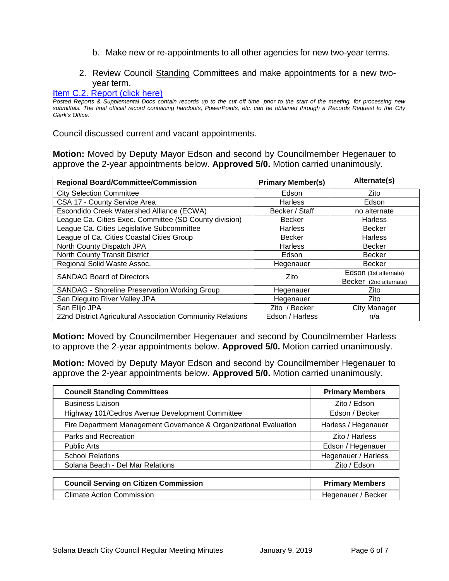- b. Make new or re-appointments to all other agencies for new two-year terms.
- 2. Review Council Standing Committees and make appointments for a new twoyear term.

#### [Item C.2. Report \(click here\)](https://solanabeach.govoffice3.com/vertical/Sites/%7B840804C2-F869-4904-9AE3-720581350CE7%7D/uploads/Item_C.2._Report_(click_here)_01-09-19.PDF)

*Posted Reports & Supplemental Docs contain records up to the cut off time, prior to the start of the meeting, for processing new submittals. The final official record containing handouts, PowerPoints, etc. can be obtained through a Records Request to the City Clerk's Office.*

Council discussed current and vacant appointments.

**Motion:** Moved by Deputy Mayor Edson and second by Councilmember Hegenauer to approve the 2-year appointments below. **Approved 5/0.** Motion carried unanimously.

| <b>Regional Board/Committee/Commission</b>                 | <b>Primary Member(s)</b> | Alternate(s)           |
|------------------------------------------------------------|--------------------------|------------------------|
| <b>City Selection Committee</b>                            | Edson                    | Zito                   |
| CSA 17 - County Service Area                               | <b>Harless</b>           | Edson                  |
| Escondido Creek Watershed Alliance (ECWA)                  | Becker / Staff           | no alternate           |
| League Ca. Cities Exec. Committee (SD County division)     | <b>Becker</b>            | <b>Harless</b>         |
| League Ca. Cities Legislative Subcommittee                 | <b>Harless</b>           | <b>Becker</b>          |
| League of Ca. Cities Coastal Cities Group                  | Becker                   | <b>Harless</b>         |
| North County Dispatch JPA                                  | <b>Harless</b>           | <b>Becker</b>          |
| <b>North County Transit District</b>                       | Edson                    | <b>Becker</b>          |
| Regional Solid Waste Assoc.                                | Hegenauer                | <b>Becker</b>          |
| <b>SANDAG Board of Directors</b>                           | Zito                     | Edson (1st alternate)  |
|                                                            |                          | Becker (2nd alternate) |
| <b>SANDAG - Shoreline Preservation Working Group</b>       | Hegenauer                | Zito                   |
| San Dieguito River Valley JPA                              | Hegenauer                | Zito                   |
| San Elijo JPA                                              | Zito / Becker            | City Manager           |
| 22nd District Agricultural Association Community Relations | Edson / Harless          | n/a                    |

**Motion:** Moved by Councilmember Hegenauer and second by Councilmember Harless to approve the 2-year appointments below. **Approved 5/0.** Motion carried unanimously.

**Motion:** Moved by Deputy Mayor Edson and second by Councilmember Hegenauer to approve the 2-year appointments below. **Approved 5/0.** Motion carried unanimously.

| <b>Council Standing Committees</b>                                | <b>Primary Members</b> |  |
|-------------------------------------------------------------------|------------------------|--|
| <b>Business Liaison</b>                                           | Zito / Edson           |  |
| Highway 101/Cedros Avenue Development Committee                   | Edson / Becker         |  |
| Fire Department Management Governance & Organizational Evaluation | Harless / Hegenauer    |  |
| Parks and Recreation                                              | Zito / Harless         |  |
| <b>Public Arts</b>                                                | Edson / Hegenauer      |  |
| <b>School Relations</b>                                           | Hegenauer / Harless    |  |
| Solana Beach - Del Mar Relations                                  | Zito / Edson           |  |

| <b>Council Serving on Citizen Commission</b> | <b>Primary Members</b> |
|----------------------------------------------|------------------------|
| <b>Climate Action Commission</b>             | Hegenauer / Becker     |